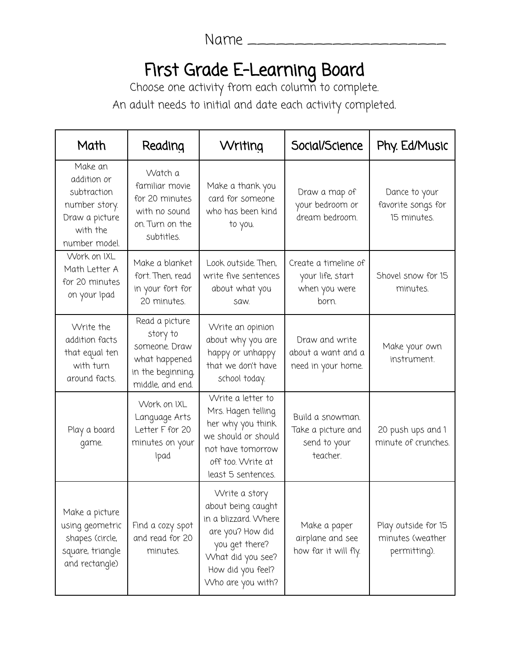## First Grade E-Learning Board

Choose one activity from each column to complete. An adult needs to initial and date each activity completed.

| Math                                                                                                  | Reading                                                                                               | Writing                                                                                                                                                          | Social/Science                                                     | Phy. Ed/Music                                           |
|-------------------------------------------------------------------------------------------------------|-------------------------------------------------------------------------------------------------------|------------------------------------------------------------------------------------------------------------------------------------------------------------------|--------------------------------------------------------------------|---------------------------------------------------------|
| Make an<br>addition or<br>subtraction<br>number story.<br>Draw a picture<br>with the<br>number model. | Watch a<br>familiar movie<br>for 20 minutes<br>with no sound<br>on. Turn on the<br>subtitles.         | Make a thank you<br>card for someone<br>who has been kind<br>to you.                                                                                             | Draw a map of<br>your bedroom or<br>dream bedroom.                 | Dance to your<br>favorite songs for<br>15 minutes.      |
| Work on IXL<br>Math Letter A<br>for 20 minutes<br>on your Ipad                                        | Make a blanket<br>fort. Then, read<br>in your fort for<br>20 minutes.                                 | Look outside. Then,<br>write five sentences<br>about what you<br>Saw.                                                                                            | Create a timeline of<br>your life, start<br>when you were<br>born. | Shovel snow for 15<br>minutes.                          |
| Write the<br>addition facts<br>that equal ten<br>with turn<br>around facts.                           | Read a picture<br>story to<br>someone. Draw<br>what happened<br>in the beginning,<br>middle, and end. | Write an opinion<br>about why you are<br>happy or unhappy<br>that we don't have<br>school today.                                                                 | Draw and write<br>about a want and a<br>need in your home.         | Make your own<br>instrument.                            |
| Play a board<br>game.                                                                                 | Work on IXL<br>Language Arts<br>Letter F for 20<br>minutes on your<br>Ipad                            | Write a letter to<br>Mrs. Hagen telling<br>her why you think<br>we should or should<br>not have tomorrow<br>off too. Write at<br>least 5 sentences.              | Build a snowman.<br>Take a picture and<br>send to your<br>teacher. | 20 push ups and 1<br>minute of crunches.                |
| Make a picture<br>using geometric<br>shapes (circle,<br>square, triangle<br>and rectangle)            | Find a cozy spot<br>and read for 20<br>minutes.                                                       | Write a story<br>about being caught<br>in a blizzard. Where<br>are you? How did<br>you get there?<br>What did you see?<br>How did you feel?<br>Who are you with? | Make a paper<br>airplane and see<br>how far it will fly.           | Play outside for 15<br>minutes (weather<br>permitting). |